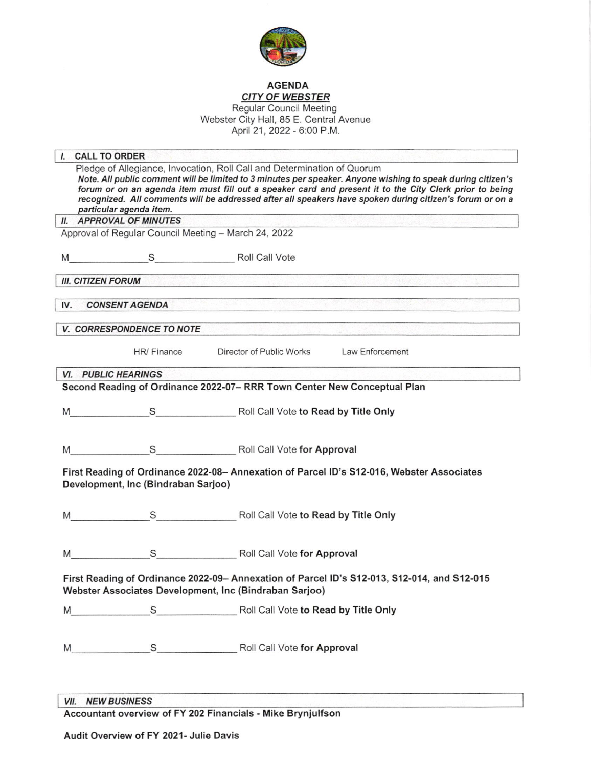

## AGENDA CITY OF WEBSTER

Regular Council Meeting Webster City Hall, 85 E. Central Avenue April 21, 2022 - 6:00 P.M.

| particular agenda item.<br><b>II. APPROVAL OF MINUTES</b><br><b>III. CITIZEN FORUM</b><br><b>CONSENT AGENDA</b><br><b>V. CORRESPONDENCE TO NOTE</b><br>HR/ Finance<br><b>VI. PUBLIC HEARINGS</b><br>$M_{\rm 1.5}$ | Pledge of Allegiance, Invocation, Roll Call and Determination of Quorum<br>Note. All public comment will be limited to 3 minutes per speaker. Anyone wishing to speak during citizen's<br>forum or on an agenda item must fill out a speaker card and present it to the City Clerk prior to being<br>recognized. All comments will be addressed after all speakers have spoken during citizen's forum or on a<br>Approval of Regular Council Meeting - March 24, 2022<br>S Roll Call Vote<br>2000년 1월, 2009년 1월, 2009년 1월, 2009년 1월, 2009년 1월, 2009년 1월, 2009년 1월, 2009년 1월, 2009년 1월, 2009년 1월, 2009년 1월,<br>Director of Public Works Law Enforcement<br>Second Reading of Ordinance 2022-07- RRR Town Center New Conceptual Plan |
|-------------------------------------------------------------------------------------------------------------------------------------------------------------------------------------------------------------------|------------------------------------------------------------------------------------------------------------------------------------------------------------------------------------------------------------------------------------------------------------------------------------------------------------------------------------------------------------------------------------------------------------------------------------------------------------------------------------------------------------------------------------------------------------------------------------------------------------------------------------------------------------------------------------------------------------------------------------|
|                                                                                                                                                                                                                   |                                                                                                                                                                                                                                                                                                                                                                                                                                                                                                                                                                                                                                                                                                                                    |
|                                                                                                                                                                                                                   |                                                                                                                                                                                                                                                                                                                                                                                                                                                                                                                                                                                                                                                                                                                                    |
|                                                                                                                                                                                                                   |                                                                                                                                                                                                                                                                                                                                                                                                                                                                                                                                                                                                                                                                                                                                    |
|                                                                                                                                                                                                                   |                                                                                                                                                                                                                                                                                                                                                                                                                                                                                                                                                                                                                                                                                                                                    |
|                                                                                                                                                                                                                   |                                                                                                                                                                                                                                                                                                                                                                                                                                                                                                                                                                                                                                                                                                                                    |
|                                                                                                                                                                                                                   |                                                                                                                                                                                                                                                                                                                                                                                                                                                                                                                                                                                                                                                                                                                                    |
|                                                                                                                                                                                                                   |                                                                                                                                                                                                                                                                                                                                                                                                                                                                                                                                                                                                                                                                                                                                    |
|                                                                                                                                                                                                                   |                                                                                                                                                                                                                                                                                                                                                                                                                                                                                                                                                                                                                                                                                                                                    |
|                                                                                                                                                                                                                   |                                                                                                                                                                                                                                                                                                                                                                                                                                                                                                                                                                                                                                                                                                                                    |
|                                                                                                                                                                                                                   |                                                                                                                                                                                                                                                                                                                                                                                                                                                                                                                                                                                                                                                                                                                                    |
|                                                                                                                                                                                                                   | S Roll Call Vote to Read by Title Only                                                                                                                                                                                                                                                                                                                                                                                                                                                                                                                                                                                                                                                                                             |
| $M_{\rm 1.5}$                                                                                                                                                                                                     | S Roll Call Vote for Approval                                                                                                                                                                                                                                                                                                                                                                                                                                                                                                                                                                                                                                                                                                      |
| Development, Inc (Bindraban Sarjoo)                                                                                                                                                                               | First Reading of Ordinance 2022-08- Annexation of Parcel ID's S12-016, Webster Associates                                                                                                                                                                                                                                                                                                                                                                                                                                                                                                                                                                                                                                          |
|                                                                                                                                                                                                                   | S Roll Call Vote to Read by Title Only                                                                                                                                                                                                                                                                                                                                                                                                                                                                                                                                                                                                                                                                                             |
|                                                                                                                                                                                                                   | S Roll Call Vote for Approval                                                                                                                                                                                                                                                                                                                                                                                                                                                                                                                                                                                                                                                                                                      |
|                                                                                                                                                                                                                   | First Reading of Ordinance 2022-09- Annexation of Parcel ID's S12-013, S12-014, and S12-015<br>Webster Associates Development, Inc (Bindraban Sarjoo)                                                                                                                                                                                                                                                                                                                                                                                                                                                                                                                                                                              |
|                                                                                                                                                                                                                   | M S S Roll Call Vote to Read by Title Only                                                                                                                                                                                                                                                                                                                                                                                                                                                                                                                                                                                                                                                                                         |
|                                                                                                                                                                                                                   |                                                                                                                                                                                                                                                                                                                                                                                                                                                                                                                                                                                                                                                                                                                                    |
|                                                                                                                                                                                                                   |                                                                                                                                                                                                                                                                                                                                                                                                                                                                                                                                                                                                                                                                                                                                    |

**VII. NEW BUSINESS** 

Accountant overview of FY 202 Financials - Mike Brynjultson